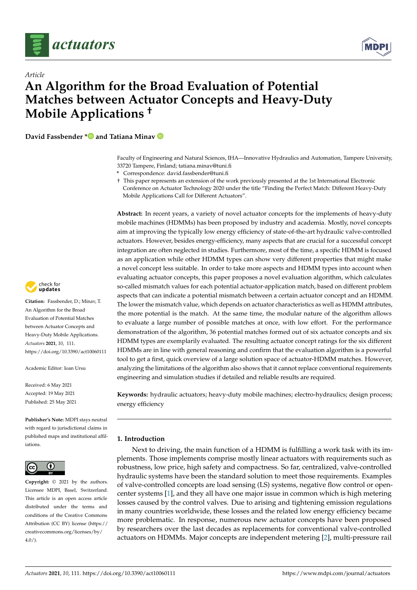



# *Article* **An Algorithm for the Broad Evaluation of Potential Matches between Actuator Concepts and Heavy-Duty Mobile Applications †**

**David Fassbender [\\*](https://orcid.org/0000-0003-3641-9834) and Tatiana Minav**

Faculty of Engineering and Natural Sciences, IHA—Innovative Hydraulics and Automation, Tampere University, 33720 Tampere, Finland; tatiana.minav@tuni.fi

**\*** Correspondence: david.fassbender@tuni.fi

† This paper represents an extension of the work previously presented at the 1st International Electronic Conference on Actuator Technology 2020 under the title "Finding the Perfect Match: Different Heavy-Duty Mobile Applications Call for Different Actuators".

**Abstract:** In recent years, a variety of novel actuator concepts for the implements of heavy-duty mobile machines (HDMMs) has been proposed by industry and academia. Mostly, novel concepts aim at improving the typically low energy efficiency of state-of-the-art hydraulic valve-controlled actuators. However, besides energy-efficiency, many aspects that are crucial for a successful concept integration are often neglected in studies. Furthermore, most of the time, a specific HDMM is focused as an application while other HDMM types can show very different properties that might make a novel concept less suitable. In order to take more aspects and HDMM types into account when evaluating actuator concepts, this paper proposes a novel evaluation algorithm, which calculates so-called mismatch values for each potential actuator-application match, based on different problem aspects that can indicate a potential mismatch between a certain actuator concept and an HDMM. The lower the mismatch value, which depends on actuator characteristics as well as HDMM attributes, the more potential is the match. At the same time, the modular nature of the algorithm allows to evaluate a large number of possible matches at once, with low effort. For the performance demonstration of the algorithm, 36 potential matches formed out of six actuator concepts and six HDMM types are exemplarily evaluated. The resulting actuator concept ratings for the six different HDMMs are in line with general reasoning and confirm that the evaluation algorithm is a powerful tool to get a first, quick overview of a large solution space of actuator-HDMM matches. However, analyzing the limitations of the algorithm also shows that it cannot replace conventional requirements engineering and simulation studies if detailed and reliable results are required.

**Keywords:** hydraulic actuators; heavy-duty mobile machines; electro-hydraulics; design process; energy efficiency

# **1. Introduction**

Next to driving, the main function of a HDMM is fulfilling a work task with its implements. Those implements comprise mostly linear actuators with requirements such as robustness, low price, high safety and compactness. So far, centralized, valve-controlled hydraulic systems have been the standard solution to meet those requirements. Examples of valve-controlled concepts are load sensing (LS) systems, negative flow control or opencenter systems [\[1\]](#page-17-0), and they all have one major issue in common which is high metering losses caused by the control valves. Due to arising and tightening emission regulations in many countries worldwide, these losses and the related low energy efficiency became more problematic. In response, numerous new actuator concepts have been proposed by researchers over the last decades as replacements for conventional valve-controlled actuators on HDMMs. Major concepts are independent metering [\[2\]](#page-17-1), multi-pressure rail



**Citation:** Fassbender, D.; Minav, T. An Algorithm for the Broad Evaluation of Potential Matches between Actuator Concepts and Heavy-Duty Mobile Applications. *Actuators* **2021**, *10*, 111. <https://doi.org/10.3390/act10060111>

Academic Editor: Ioan Ursu

Received: 6 May 2021 Accepted: 19 May 2021 Published: 25 May 2021

**Publisher's Note:** MDPI stays neutral with regard to jurisdictional claims in published maps and institutional affiliations.



**Copyright:** © 2021 by the authors. Licensee MDPI, Basel, Switzerland. This article is an open access article distributed under the terms and conditions of the Creative Commons Attribution (CC BY) license (https:/[/](https://creativecommons.org/licenses/by/4.0/) [creativecommons.org/licenses/by/](https://creativecommons.org/licenses/by/4.0/)  $4.0/$ ).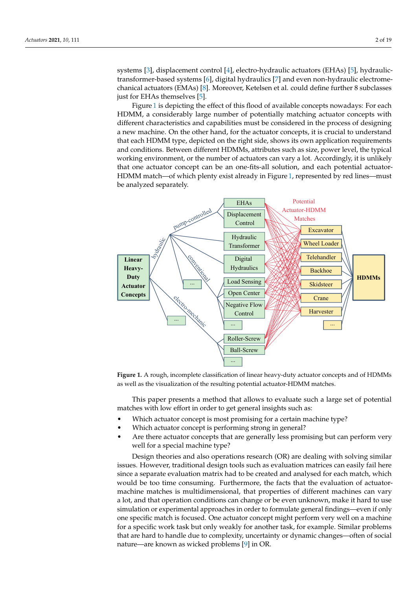systems [\[3\]](#page-17-2), displacement control [\[4\]](#page-17-3), electro-hydraulic actuators (EHAs) [\[5\]](#page-17-4), hydraulictransformer-based systems [\[6\]](#page-17-5), digital hydraulics [\[7\]](#page-17-6) and even non-hydraulic electromechanical actuators (EMAs) [\[8\]](#page-17-7). Moreover, Ketelsen et al. could define further 8 subclasses just for EHAs themselves [\[5\]](#page-17-4).

Figure [1](#page-1-0) is depicting the effect of this flood of available concepts nowadays: For each HDMM, a considerably large number of potentially matching actuator concepts with different characteristics and capabilities must be considered in the process of designing a new machine. On the other hand, for the actuator concepts, it is crucial to understand that each HDMM type, depicted on the right side, shows its own application requirements and conditions. Between different HDMMs, attributes such as size, power level, the typical working environment, or the number of actuators can vary a lot. Accordingly, it is unlikely that one actuator concept can be an one-fits-all solution, and each potential actuator-HDMM match—of which plenty exist already in Figure [1,](#page-1-0) represented by red lines—must be analyzed separately.

<span id="page-1-0"></span>

**Figure 1.** A rough, incomplete classification of linear heavy-duty actuator concepts and of HDMMs as well as the visualization of the resulting potential actuator-HDMM matches.

This paper presents a method that allows to evaluate such a large set of potential matches with low effort in order to get general insights such as:

- Which actuator concept is most promising for a certain machine type?
- Which actuator concept is performing strong in general?
- Are there actuator concepts that are generally less promising but can perform very well for a special machine type?

Design theories and also operations research (OR) are dealing with solving similar issues. However, traditional design tools such as evaluation matrices can easily fail here since a separate evaluation matrix had to be created and analysed for each match, which would be too time consuming. Furthermore, the facts that the evaluation of actuatormachine matches is multidimensional, that properties of different machines can vary a lot, and that operation conditions can change or be even unknown, make it hard to use simulation or experimental approaches in order to formulate general findings—even if only one specific match is focused. One actuator concept might perform very well on a machine for a specific work task but only weakly for another task, for example. Similar problems that are hard to handle due to complexity, uncertainty or dynamic changes—often of social nature—are known as wicked problems [\[9\]](#page-17-8) in OR.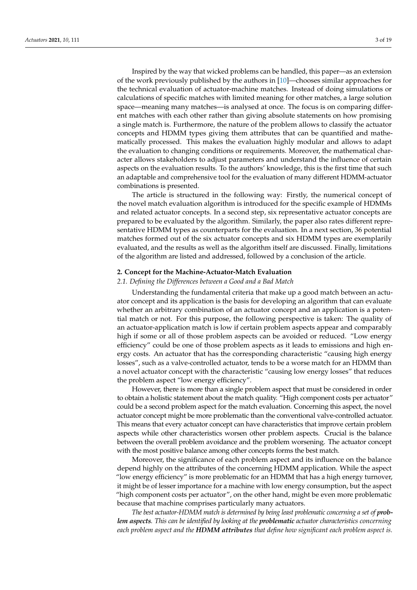Inspired by the way that wicked problems can be handled, this paper—as an extension of the work previously published by the authors in [\[10\]](#page-17-9)—chooses similar approaches for the technical evaluation of actuator-machine matches. Instead of doing simulations or calculations of specific matches with limited meaning for other matches, a large solution space—meaning many matches—is analysed at once. The focus is on comparing different matches with each other rather than giving absolute statements on how promising a single match is. Furthermore, the nature of the problem allows to classify the actuator concepts and HDMM types giving them attributes that can be quantified and mathematically processed. This makes the evaluation highly modular and allows to adapt the evaluation to changing conditions or requirements. Moreover, the mathematical character allows stakeholders to adjust parameters and understand the influence of certain aspects on the evaluation results. To the authors' knowledge, this is the first time that such an adaptable and comprehensive tool for the evaluation of many different HDMM-actuator combinations is presented.

The article is structured in the following way: Firstly, the numerical concept of the novel match evaluation algorithm is introduced for the specific example of HDMMs and related actuator concepts. In a second step, six representative actuator concepts are prepared to be evaluated by the algorithm. Similarly, the paper also rates different representative HDMM types as counterparts for the evaluation. In a next section, 36 potential matches formed out of the six actuator concepts and six HDMM types are exemplarily evaluated, and the results as well as the algorithm itself are discussed. Finally, limitations of the algorithm are listed and addressed, followed by a conclusion of the article.

## **2. Concept for the Machine-Actuator-Match Evaluation**

## *2.1. Defining the Differences between a Good and a Bad Match*

Understanding the fundamental criteria that make up a good match between an actuator concept and its application is the basis for developing an algorithm that can evaluate whether an arbitrary combination of an actuator concept and an application is a potential match or not. For this purpose, the following perspective is taken: The quality of an actuator-application match is low if certain problem aspects appear and comparably high if some or all of those problem aspects can be avoided or reduced. "Low energy efficiency" could be one of those problem aspects as it leads to emissions and high energy costs. An actuator that has the corresponding characteristic "causing high energy losses", such as a valve-controlled actuator, tends to be a worse match for an HDMM than a novel actuator concept with the characteristic "causing low energy losses" that reduces the problem aspect "low energy efficiency".

However, there is more than a single problem aspect that must be considered in order to obtain a holistic statement about the match quality. "High component costs per actuator" could be a second problem aspect for the match evaluation. Concerning this aspect, the novel actuator concept might be more problematic than the conventional valve-controlled actuator. This means that every actuator concept can have characteristics that improve certain problem aspects while other characteristics worsen other problem aspects. Crucial is the balance between the overall problem avoidance and the problem worsening. The actuator concept with the most positive balance among other concepts forms the best match.

Moreover, the significance of each problem aspect and its influence on the balance depend highly on the attributes of the concerning HDMM application. While the aspect "low energy efficiency" is more problematic for an HDMM that has a high energy turnover, it might be of lesser importance for a machine with low energy consumption, but the aspect "high component costs per actuator", on the other hand, might be even more problematic because that machine comprises particularly many actuators.

*The best actuator-HDMM match is determined by being least problematic concerning a set of problem aspects. This can be identified by looking at the problematic actuator characteristics concerning each problem aspect and the HDMM attributes that define how significant each problem aspect is.*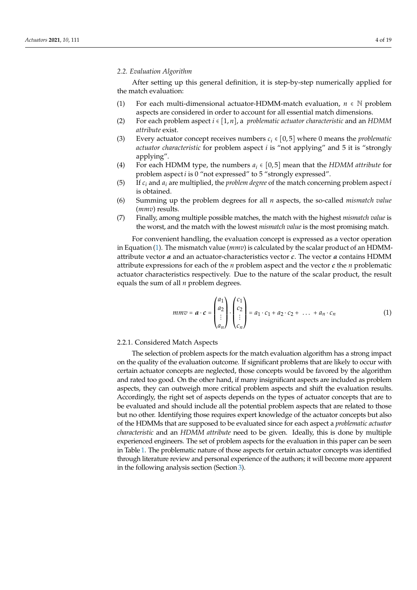After setting up this general definition, it is step-by-step numerically applied for the match evaluation:

- (1) For each multi-dimensional actuator-HDMM-match evaluation,  $n \in \mathbb{N}$  problem aspects are considered in order to account for all essential match dimensions.
- (2) For each problem aspect *i* ∈ [1, *n*], a *problematic actuator characteristic* and an *HDMM attribute* exist.
- (3) Every actuator concept receives numbers *c<sup>i</sup>* ∈ [0, 5] where 0 means the *problematic actuator characteristic* for problem aspect *i* is "not applying" and 5 it is "strongly applying".
- (4) For each HDMM type, the numbers  $a_i \in [0,5]$  mean that the *HDMM attribute* for problem aspect *i* is 0 "not expressed" to 5 "strongly expressed".
- (5) If  $c_i$  and  $a_i$  are multiplied, the *problem degree* of the match concerning problem aspect *i* is obtained.
- (6) Summing up the problem degrees for all *n* aspects, the so-called *mismatch value* (*mmv*) results.
- (7) Finally, among multiple possible matches, the match with the highest *mismatch value* is the worst, and the match with the lowest *mismatch value* is the most promising match.

For convenient handling, the evaluation concept is expressed as a vector operation in Equation [\(1\)](#page-3-0). The mismatch value (*mmv*) is calculated by the scalar product of an HDMMattribute vector *a* and an actuator-characteristics vector *c*. The vector *a* contains HDMM attribute expressions for each of the *n* problem aspect and the vector *c* the *n* problematic actuator characteristics respectively. Due to the nature of the scalar product, the result equals the sum of all *n* problem degrees.

<span id="page-3-0"></span>
$$
mmv = \boldsymbol{a} \cdot \boldsymbol{c} = \begin{pmatrix} a_1 \\ a_2 \\ \vdots \\ a_n \end{pmatrix} \cdot \begin{pmatrix} c_1 \\ c_2 \\ \vdots \\ c_n \end{pmatrix} = a_1 \cdot c_1 + a_2 \cdot c_2 + \dots + a_n \cdot c_n \tag{1}
$$

## 2.2.1. Considered Match Aspects

The selection of problem aspects for the match evaluation algorithm has a strong impact on the quality of the evaluation outcome. If significant problems that are likely to occur with certain actuator concepts are neglected, those concepts would be favored by the algorithm and rated too good. On the other hand, if many insignificant aspects are included as problem aspects, they can outweigh more critical problem aspects and shift the evaluation results. Accordingly, the right set of aspects depends on the types of actuator concepts that are to be evaluated and should include all the potential problem aspects that are related to those but no other. Identifying those requires expert knowledge of the actuator concepts but also of the HDMMs that are supposed to be evaluated since for each aspect a *problematic actuator characteristic* and an *HDMM attribute* need to be given. Ideally, this is done by multiple experienced engineers. The set of problem aspects for the evaluation in this paper can be seen in Table [1.](#page-4-0) The problematic nature of those aspects for certain actuator concepts was identified through literature review and personal experience of the authors; it will become more apparent in the following analysis section (Section [3\)](#page-5-0).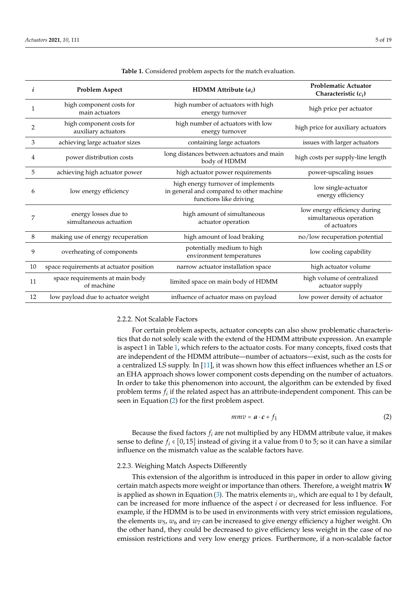<span id="page-4-0"></span>

| i            | <b>Problem Aspect</b>                                             | HDMM Attribute $(a_i)$                                                                                   | <b>Problematic Actuator</b><br>Characteristic $(c_i)$                  |  |
|--------------|-------------------------------------------------------------------|----------------------------------------------------------------------------------------------------------|------------------------------------------------------------------------|--|
| $\mathbf{1}$ | high component costs for<br>main actuators                        | high number of actuators with high<br>energy turnover                                                    | high price per actuator                                                |  |
| 2            | high component costs for<br>auxiliary actuators                   | high number of actuators with low<br>energy turnover                                                     |                                                                        |  |
| 3            | achieving large actuator sizes                                    | containing large actuators                                                                               | issues with larger actuators                                           |  |
| 4            | power distribution costs                                          | long distances between actuators and main<br>body of HDMM                                                |                                                                        |  |
| 5            | high actuator power requirements<br>achieving high actuator power |                                                                                                          | power-upscaling issues                                                 |  |
| 6            | low energy efficiency                                             | high energy turnover of implements<br>in general and compared to other machine<br>functions like driving | low single-actuator<br>energy efficiency                               |  |
| 7            | energy losses due to<br>simultaneous actuation                    | high amount of simultaneous<br>actuator operation                                                        | low energy efficiency during<br>simultaneous operation<br>of actuators |  |
| 8            | making use of energy recuperation                                 | high amount of load braking                                                                              | no/low recuperation potential                                          |  |
| 9            | overheating of components                                         | potentially medium to high<br>environment temperatures                                                   | low cooling capability                                                 |  |
| 10           | space requirements at actuator position                           | narrow actuator installation space                                                                       | high actuator volume                                                   |  |
| 11           | space requirements at main body<br>of machine                     | limited space on main body of HDMM                                                                       | high volume of centralized<br>actuator supply                          |  |
| 12           | low payload due to actuator weight                                | influence of actuator mass on payload                                                                    | low power density of actuator                                          |  |

**Table 1.** Considered problem aspects for the match evaluation.

# <span id="page-4-2"></span>2.2.2. Not Scalable Factors

For certain problem aspects, actuator concepts can also show problematic characteristics that do not solely scale with the extend of the HDMM attribute expression. An example is aspect 1 in Table [1,](#page-4-0) which refers to the actuator costs. For many concepts, fixed costs that are independent of the HDMM attribute—number of actuators—exist, such as the costs for a centralized LS supply. In [\[11\]](#page-17-10), it was shown how this effect influences whether an LS or an EHA approach shows lower component costs depending on the number of actuators. In order to take this phenomenon into account, the algorithm can be extended by fixed problem terms  $f_i$  if the related aspect has an attribute-independent component. This can be seen in Equation [\(2\)](#page-4-1) for the first problem aspect.

<span id="page-4-1"></span>
$$
mmv = \boldsymbol{a} \cdot \boldsymbol{c} + f_1 \tag{2}
$$

Because the fixed factors  $f_i$  are not multiplied by any HDMM attribute value, it makes sense to define  $f_i \in [0, 15]$  instead of giving it a value from 0 to 5; so it can have a similar influence on the mismatch value as the scalable factors have.

# 2.2.3. Weighing Match Aspects Differently

This extension of the algorithm is introduced in this paper in order to allow giving certain match aspects more weight or importance than others. Therefore, a weight matrix *W* is applied as shown in Equation [\(3\)](#page-5-1). The matrix elements  $w_i$ , which are equal to 1 by default, can be increased for more influence of the aspect *i* or decreased for less influence. For example, if the HDMM is to be used in environments with very strict emission regulations, the elements  $w_5$ ,  $w_6$  and  $w_7$  can be increased to give energy efficiency a higher weight. On the other hand, they could be decreased to give efficiency less weight in the case of no emission restrictions and very low energy prices. Furthermore, if a non-scalable factor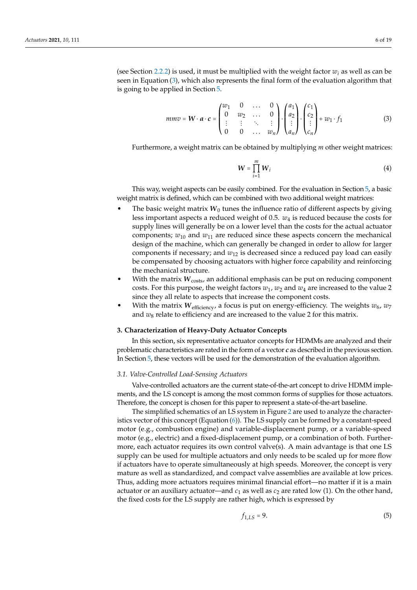(see Section [2.2.2\)](#page-4-2) is used, it must be multiplied with the weight factor  $w_i$  as well as can be seen in Equation [\(3\)](#page-5-1), which also represents the final form of the evaluation algorithm that is going to be applied in Section [5.](#page-14-0)

<span id="page-5-1"></span>
$$
mmv = \mathbf{W} \cdot \mathbf{a} \cdot \mathbf{c} = \begin{pmatrix} w_1 & 0 & \dots & 0 \\ 0 & w_2 & \dots & 0 \\ \vdots & \vdots & \ddots & \vdots \\ 0 & 0 & \dots & w_n \end{pmatrix} \cdot \begin{pmatrix} a_1 \\ a_2 \\ \vdots \\ a_n \end{pmatrix} \cdot \begin{pmatrix} c_1 \\ c_2 \\ \vdots \\ c_n \end{pmatrix} + w_1 \cdot f_1
$$
 (3)

Furthermore, a weight matrix can be obtained by multiplying *m* other weight matrices:

$$
W = \prod_{i=1}^{m} W_i
$$
 (4)

This way, weight aspects can be easily combined. For the evaluation in Section [5,](#page-14-0) a basic weight matrix is defined, which can be combined with two additional weight matrices:

- The basic weight matrix  $W_0$  tunes the influence ratio of different aspects by giving less important aspects a reduced weight of 0.5. *w*<sup>4</sup> is reduced because the costs for supply lines will generally be on a lower level than the costs for the actual actuator components;  $w_{10}$  and  $w_{11}$  are reduced since these aspects concern the mechanical design of the machine, which can generally be changed in order to allow for larger components if necessary; and *w*<sup>12</sup> is decreased since a reduced pay load can easily be compensated by choosing actuators with higher force capability and reinforcing the mechanical structure.
- With the matrix  $W_{\text{costs}}$ , an additional emphasis can be put on reducing component costs. For this purpose, the weight factors  $w_1$ ,  $w_2$  and  $w_4$  are increased to the value 2 since they all relate to aspects that increase the component costs.
- With the matrix  $W_{\text{efficiency}}$ , a focus is put on energy-efficiency. The weights  $w_6$ ,  $w_7$ and  $w_8$  relate to efficiency and are increased to the value 2 for this matrix.

## <span id="page-5-0"></span>**3. Characterization of Heavy-Duty Actuator Concepts**

In this section, six representative actuator concepts for HDMMs are analyzed and their problematic characteristics are rated in the form of a vector *c* as described in the previous section. In Section [5,](#page-14-0) these vectors will be used for the demonstration of the evaluation algorithm.

### *3.1. Valve-Controlled Load-Sensing Actuators*

Valve-controlled actuators are the current state-of-the-art concept to drive HDMM implements, and the LS concept is among the most common forms of supplies for those actuators. Therefore, the concept is chosen for this paper to represent a state-of-the-art baseline.

The simplified schematics of an LS system in Figure [2](#page-6-0) are used to analyze the characteristics vector of this concept (Equation [\(6\)](#page-6-1)). The LS supply can be formed by a constant-speed motor (e.g., combustion engine) and variable-displacement pump, or a variable-speed motor (e.g., electric) and a fixed-displacement pump, or a combination of both. Furthermore, each actuator requires its own control valve(s). A main advantage is that one LS supply can be used for multiple actuators and only needs to be scaled up for more flow if actuators have to operate simultaneously at high speeds. Moreover, the concept is very mature as well as standardized, and compact valve assemblies are available at low prices. Thus, adding more actuators requires minimal financial effort—no matter if it is a main actuator or an auxiliary actuator—and  $c_1$  as well as  $c_2$  are rated low (1). On the other hand, the fixed costs for the LS supply are rather high, which is expressed by

$$
f_{1,LS} = 9. \tag{5}
$$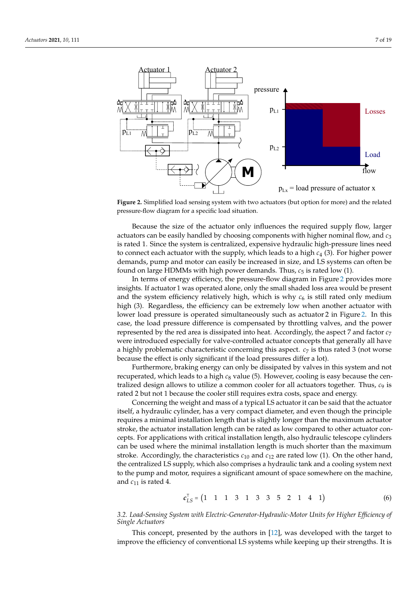<span id="page-6-0"></span>

**Figure 2.** Simplified load sensing system with two actuators (but option for more) and the related pressure-flow diagram for a specific load situation.

Because the size of the actuator only influences the required supply flow, larger actuators can be easily handled by choosing components with higher nominal flow, and *c*<sup>3</sup> is rated 1. Since the system is centralized, expensive hydraulic high-pressure lines need to connect each actuator with the supply, which leads to a high *c*<sup>4</sup> (3). For higher power demands, pump and motor can easily be increased in size, and LS systems can often be found on large HDMMs with high power demands. Thus,  $c_5$  is rated low (1).

In terms of energy efficiency, the pressure-flow diagram in Figure [2](#page-6-0) provides more insights. If actuator 1 was operated alone, only the small shaded loss area would be present and the system efficiency relatively high, which is why  $c<sub>6</sub>$  is still rated only medium high (3). Regardless, the efficiency can be extremely low when another actuator with lower load pressure is operated simultaneously such as actuator 2 in Figure [2.](#page-6-0) In this case, the load pressure difference is compensated by throttling valves, and the power represented by the red area is dissipated into heat. Accordingly, the aspect 7 and factor *c*<sup>7</sup> were introduced especially for valve-controlled actuator concepts that generally all have a highly problematic characteristic concerning this aspect. *c*<sup>7</sup> is thus rated 3 (not worse because the effect is only significant if the load pressures differ a lot).

Furthermore, braking energy can only be dissipated by valves in this system and not recuperated, which leads to a high  $c_8$  value (5). However, cooling is easy because the centralized design allows to utilize a common cooler for all actuators together. Thus, *c*<sup>9</sup> is rated 2 but not 1 because the cooler still requires extra costs, space and energy.

Concerning the weight and mass of a typical LS actuator it can be said that the actuator itself, a hydraulic cylinder, has a very compact diameter, and even though the principle requires a minimal installation length that is slightly longer than the maximum actuator stroke, the actuator installation length can be rated as low compared to other actuator concepts. For applications with critical installation length, also hydraulic telescope cylinders can be used where the minimal installation length is much shorter than the maximum stroke. Accordingly, the characteristics  $c_{10}$  and  $c_{12}$  are rated low (1). On the other hand, the centralized LS supply, which also comprises a hydraulic tank and a cooling system next to the pump and motor, requires a significant amount of space somewhere on the machine, and  $c_{11}$  is rated 4.

<span id="page-6-1"></span>
$$
c_{LS}^T = \begin{pmatrix} 1 & 1 & 1 & 3 & 1 & 3 & 3 & 5 & 2 & 1 & 4 & 1 \end{pmatrix}
$$
 (6)

*3.2. Load-Sensing System with Electric-Generator-Hydraulic-Motor Units for Higher Efficiency of Single Actuators*

This concept, presented by the authors in [\[12\]](#page-17-11), was developed with the target to improve the efficiency of conventional LS systems while keeping up their strengths. It is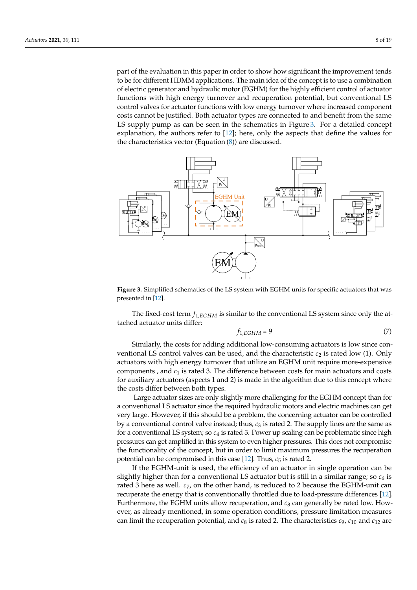part of the evaluation in this paper in order to show how significant the improvement tends to be for different HDMM applications. The main idea of the concept is to use a combination of electric generator and hydraulic motor (EGHM) for the highly efficient control of actuator functions with high energy turnover and recuperation potential, but conventional LS control valves for actuator functions with low energy turnover where increased component costs cannot be justified. Both actuator types are connected to and benefit from the same LS supply pump as can be seen in the schematics in Figure [3.](#page-7-0) For a detailed concept explanation, the authors refer to [\[12\]](#page-17-11); here, only the aspects that define the values for the characteristics vector (Equation  $(8)$ ) are discussed.

<span id="page-7-0"></span>

**Figure 3.** Simplified schematics of the LS system with EGHM units for specific actuators that was presented in [\[12\]](#page-17-11).

The fixed-cost term *f*1,*EGHM* is similar to the conventional LS system since only the attached actuator units differ:

$$
f_{1,EGHM} = 9\tag{7}
$$

Similarly, the costs for adding additional low-consuming actuators is low since conventional LS control valves can be used, and the characteristic  $c<sub>2</sub>$  is rated low (1). Only actuators with high energy turnover that utilize an EGHM unit require more-expensive components , and *c*<sup>1</sup> is rated 3. The difference between costs for main actuators and costs for auxiliary actuators (aspects 1 and 2) is made in the algorithm due to this concept where the costs differ between both types.

Large actuator sizes are only slightly more challenging for the EGHM concept than for a conventional LS actuator since the required hydraulic motors and electric machines can get very large. However, if this should be a problem, the concerning actuator can be controlled by a conventional control valve instead; thus,  $c_3$  is rated 2. The supply lines are the same as for a conventional LS system; so *c*<sup>4</sup> is rated 3. Power up scaling can be problematic since high pressures can get amplified in this system to even higher pressures. This does not compromise the functionality of the concept, but in order to limit maximum pressures the recuperation potential can be compromised in this case  $[12]$ . Thus,  $c_5$  is rated 2.

If the EGHM-unit is used, the efficiency of an actuator in single operation can be slightly higher than for a conventional LS actuator but is still in a similar range; so  $c<sub>6</sub>$  is rated 3 here as well. *c*7, on the other hand, is reduced to 2 because the EGHM-unit can recuperate the energy that is conventionally throttled due to load-pressure differences [\[12\]](#page-17-11). Furthermore, the EGHM units allow recuperation, and  $c_8$  can generally be rated low. However, as already mentioned, in some operation conditions, pressure limitation measures can limit the recuperation potential, and  $c_8$  is rated 2. The characteristics  $c_9$ ,  $c_{10}$  and  $c_{12}$  are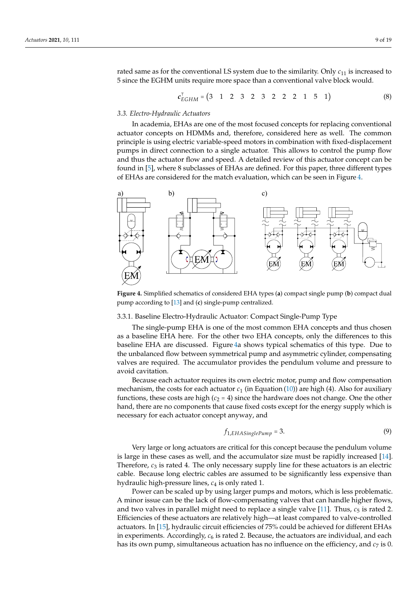rated same as for the conventional LS system due to the similarity. Only  $c_{11}$  is increased to 5 since the EGHM units require more space than a conventional valve block would.

<span id="page-8-0"></span>
$$
c_{EGHM}^{\top} = \begin{pmatrix} 3 & 1 & 2 & 3 & 2 & 3 & 2 & 2 & 2 & 1 & 5 & 1 \end{pmatrix}
$$
 (8)

#### *3.3. Electro-Hydraulic Actuators*

In academia, EHAs are one of the most focused concepts for replacing conventional actuator concepts on HDMMs and, therefore, considered here as well. The common principle is using electric variable-speed motors in combination with fixed-displacement pumps in direct connection to a single actuator. This allows to control the pump flow and thus the actuator flow and speed. A detailed review of this actuator concept can be found in [\[5\]](#page-17-4), where 8 subclasses of EHAs are defined. For this paper, three different types of EHAs are considered for the match evaluation, which can be seen in Figure [4.](#page-8-1)

<span id="page-8-1"></span>

**Figure 4.** Simplified schematics of considered EHA types (**a**) compact single pump (**b**) compact dual pump according to [\[13\]](#page-18-0) and (**c**) single-pump centralized.

# <span id="page-8-2"></span>3.3.1. Baseline Electro-Hydraulic Actuator: Compact Single-Pump Type

The single-pump EHA is one of the most common EHA concepts and thus chosen as a baseline EHA here. For the other two EHA concepts, only the differences to this baseline EHA are discussed. Figure [4a](#page-8-1) shows typical schematics of this type. Due to the unbalanced flow between symmetrical pump and asymmetric cylinder, compensating valves are required. The accumulator provides the pendulum volume and pressure to avoid cavitation.

Because each actuator requires its own electric motor, pump and flow compensation mechanism, the costs for each actuator  $c_1$  (in Equation [\(10\)](#page-9-0)) are high (4). Also for auxiliary functions, these costs are high  $(c_2 = 4)$  since the hardware does not change. One the other hand, there are no components that cause fixed costs except for the energy supply which is necessary for each actuator concept anyway, and

$$
f_{1,EHASinglePump} = 3. \t\t(9)
$$

Very large or long actuators are critical for this concept because the pendulum volume is large in these cases as well, and the accumulator size must be rapidly increased [\[14\]](#page-18-1). Therefore, *c*<sup>3</sup> is rated 4. The only necessary supply line for these actuators is an electric cable. Because long electric cables are assumed to be significantly less expensive than hydraulic high-pressure lines, *c*<sup>4</sup> is only rated 1.

Power can be scaled up by using larger pumps and motors, which is less problematic. A minor issue can be the lack of flow-compensating valves that can handle higher flows, and two valves in parallel might need to replace a single valve  $[11]$ . Thus,  $c_5$  is rated 2. Efficiencies of these actuators are relatively high—at least compared to valve-controlled actuators. In [\[15\]](#page-18-2), hydraulic circuit efficiencies of 75% could be achieved for different EHAs in experiments. Accordingly,  $c<sub>6</sub>$  is rated 2. Because, the actuators are individual, and each has its own pump, simultaneous actuation has no influence on the efficiency, and  $c<sub>7</sub>$  is 0.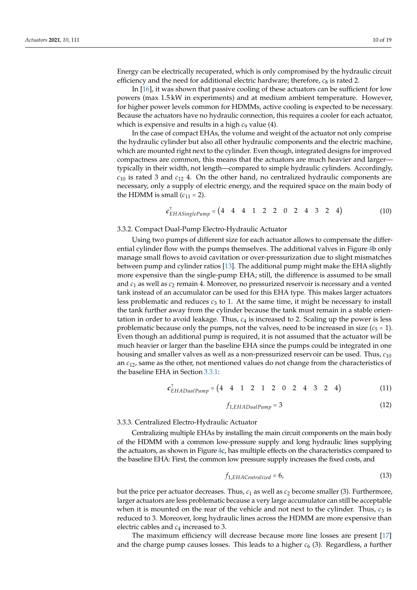Energy can be electrically recuperated, which is only compromised by the hydraulic circuit efficiency and the need for additional electric hardware; therefore,  $c_8$  is rated 2.

In [\[16\]](#page-18-3), it was shown that passive cooling of these actuators can be sufficient for low powers (max 1.5 kW in experiments) and at medium ambient temperature. However, for higher power levels common for HDMMs, active cooling is expected to be necessary. Because the actuators have no hydraulic connection, this requires a cooler for each actuator, which is expensive and results in a high  $c_9$  value (4).

In the case of compact EHAs, the volume and weight of the actuator not only comprise the hydraulic cylinder but also all other hydraulic components and the electric machine, which are mounted right next to the cylinder. Even though, integrated designs for improved compactness are common, this means that the actuators are much heavier and larger typically in their width, not length—compared to simple hydraulic cylinders. Accordingly,  $c_{10}$  is rated 3 and  $c_{12}$  4. On the other hand, no centralized hydraulic components are necessary, only a supply of electric energy, and the required space on the main body of the HDMM is small  $(c_{11} = 2)$ .

<span id="page-9-0"></span>
$$
c_{EHASinglePump}^{\top} = \begin{pmatrix} 4 & 4 & 4 & 1 & 2 & 2 & 0 & 2 & 4 & 3 & 2 & 4 \end{pmatrix}
$$
 (10)

## 3.3.2. Compact Dual-Pump Electro-Hydraulic Actuator

Using two pumps of different size for each actuator allows to compensate the differential cylinder flow with the pumps themselves. The additional valves in Figure [4b](#page-8-1) only manage small flows to avoid cavitation or over-pressurization due to slight mismatches between pump and cylinder ratios [\[13\]](#page-18-0). The additional pump might make the EHA slightly more expensive than the single-pump EHA; still, the difference is assumed to be small and  $c_1$  as well as  $c_2$  remain 4. Moreover, no pressurized reservoir is necessary and a vented tank instead of an accumulator can be used for this EHA type. This makes larger actuators less problematic and reduces  $c_3$  to 1. At the same time, it might be necessary to install the tank further away from the cylinder because the tank must remain in a stable orientation in order to avoid leakage. Thus,  $c_4$  is increased to 2. Scaling up the power is less problematic because only the pumps, not the valves, need to be increased in size  $(c_5 = 1)$ . Even though an additional pump is required, it is not assumed that the actuator will be much heavier or larger than the baseline EHA since the pumps could be integrated in one housing and smaller valves as well as a non-pressurized reservoir can be used. Thus, *c*<sup>10</sup> an *c*12, same as the other, not mentioned values do not change from the characteristics of the baseline EHA in Section [3.3.1:](#page-8-2)

$$
c_{EHADualPump}^{T} = \begin{pmatrix} 4 & 4 & 1 & 2 & 1 & 2 & 0 & 2 & 4 & 3 & 2 & 4 \end{pmatrix}
$$
 (11)

$$
f_{1,EHADualPump} = 3 \tag{12}
$$

## 3.3.3. Centralized Electro-Hydraulic Actuator

Centralizing multiple EHAs by installing the main circuit components on the main body of the HDMM with a common low-pressure supply and long hydraulic lines supplying the actuators, as shown in Figure [4c](#page-8-1), has multiple effects on the characteristics compared to the baseline EHA: First, the common low pressure supply increases the fixed costs, and

$$
f_{1,EHACentralized} = 6, \t\t(13)
$$

but the price per actuator decreases. Thus,  $c_1$  as well as  $c_2$  become smaller (3). Furthermore, larger actuators are less problematic because a very large accumulator can still be acceptable when it is mounted on the rear of the vehicle and not next to the cylinder. Thus,  $c_3$  is reduced to 3. Moreover, long hydraulic lines across the HDMM are more expensive than electric cables and *c*<sup>4</sup> increased to 3.

The maximum efficiency will decrease because more line losses are present [\[17\]](#page-18-4) and the charge pump causes losses. This leads to a higher  $c<sub>6</sub>$  (3). Regardless, a further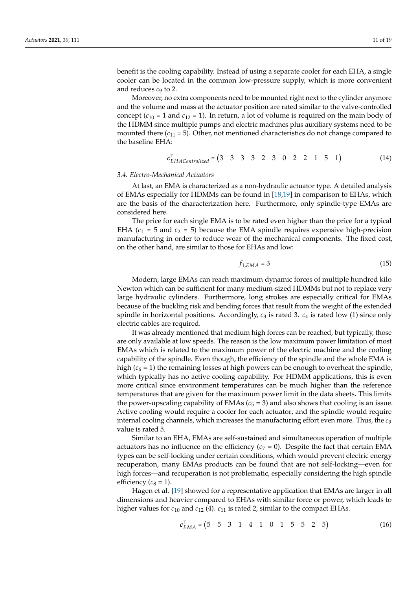benefit is the cooling capability. Instead of using a separate cooler for each EHA, a single cooler can be located in the common low-pressure supply, which is more convenient and reduces *c*<sup>9</sup> to 2.

Moreover, no extra components need to be mounted right next to the cylinder anymore and the volume and mass at the actuator position are rated similar to the valve-controlled concept  $(c_{10} = 1$  and  $c_{12} = 1)$ . In return, a lot of volume is required on the main body of the HDMM since multiple pumps and electric machines plus auxiliary systems need to be mounted there  $(c_{11} = 5)$ . Other, not mentioned characteristics do not change compared to the baseline EHA:

$$
c_{EHACentralized}^{T} = (3 \ 3 \ 3 \ 3 \ 2 \ 3 \ 0 \ 2 \ 2 \ 1 \ 5 \ 1)
$$
 (14)

### *3.4. Electro-Mechanical Actuators*

At last, an EMA is characterized as a non-hydraulic actuator type. A detailed analysis of EMAs especially for HDMMs can be found in [\[18,](#page-18-5)[19\]](#page-18-6) in comparison to EHAs, which are the basis of the characterization here. Furthermore, only spindle-type EMAs are considered here.

The price for each single EMA is to be rated even higher than the price for a typical EHA  $(c_1 = 5$  and  $c_2 = 5)$  because the EMA spindle requires expensive high-precision manufacturing in order to reduce wear of the mechanical components. The fixed cost, on the other hand, are similar to those for EHAs and low:

$$
f_{1,EMA} = 3 \tag{15}
$$

Modern, large EMAs can reach maximum dynamic forces of multiple hundred kilo Newton which can be sufficient for many medium-sized HDMMs but not to replace very large hydraulic cylinders. Furthermore, long strokes are especially critical for EMAs because of the buckling risk and bending forces that result from the weight of the extended spindle in horizontal positions. Accordingly,  $c_3$  is rated 3.  $c_4$  is rated low (1) since only electric cables are required.

It was already mentioned that medium high forces can be reached, but typically, those are only available at low speeds. The reason is the low maximum power limitation of most EMAs which is related to the maximum power of the electric machine and the cooling capability of the spindle. Even though, the efficiency of the spindle and the whole EMA is high  $(c_6 = 1)$  the remaining losses at high powers can be enough to overheat the spindle, which typically has no active cooling capability. For HDMM applications, this is even more critical since environment temperatures can be much higher than the reference temperatures that are given for the maximum power limit in the data sheets. This limits the power-upscaling capability of EMAs  $(c<sub>5</sub> = 3)$  and also shows that cooling is an issue. Active cooling would require a cooler for each actuator, and the spindle would require internal cooling channels, which increases the manufacturing effort even more. Thus, the *c*<sup>9</sup> value is rated 5.

Similar to an EHA, EMAs are self-sustained and simultaneous operation of multiple actuators has no influence on the efficiency  $(c<sub>7</sub> = 0)$ . Despite the fact that certain EMA types can be self-locking under certain conditions, which would prevent electric energy recuperation, many EMAs products can be found that are not self-locking—even for high forces—and recuperation is not problematic, especially considering the high spindle efficiency  $(c_8 = 1)$ .

Hagen et al. [\[19\]](#page-18-6) showed for a representative application that EMAs are larger in all dimensions and heavier compared to EHAs with similar force or power, which leads to higher values for *c*<sup>10</sup> and *c*<sup>12</sup> (4). *c*<sup>11</sup> is rated 2, similar to the compact EHAs.

$$
c_{EMA}^{T} = (5 \ 5 \ 3 \ 1 \ 4 \ 1 \ 0 \ 1 \ 5 \ 5 \ 2 \ 5) \tag{16}
$$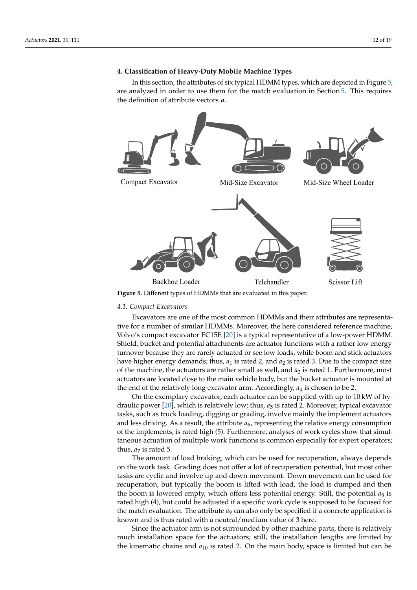# <span id="page-11-1"></span>**4. Classification of Heavy-Duty Mobile Machine Types**

In this section, the attributes of six typical HDMM types, which are depicted in Figure [5,](#page-11-0) are analyzed in order to use them for the match evaluation in Section [5.](#page-14-0) This requires the definition of attribute vectors *a*.

<span id="page-11-0"></span>

## *4.1. Compact Excavators*

Excavators are one of the most common HDMMs and their attributes are representative for a number of similar HDMMs. Moreover, the here considered reference machine, Volvo's compact excavator EC15E [\[20\]](#page-18-7) is a typical representative of a low-power HDMM. Shield, bucket and potential attachments are actuator functions with a rather low energy turnover because they are rarely actuated or see low loads, while boom and stick actuators have higher energy demands; thus,  $a_1$  is rated 2, and  $a_2$  is rated 3. Due to the compact size of the machine, the actuators are rather small as well, and  $a_3$  is rated 1. Furthermore, most actuators are located close to the main vehicle body, but the bucket actuator is mounted at the end of the relatively long excavator arm. Accordingly,  $a_4$  is chosen to be 2.

On the exemplary excavator, each actuator can be supplied with up to 10 kW of hy-draulic power [\[20\]](#page-18-7), which is relatively low; thus,  $a_5$  is rated 2. Moreover, typical excavator tasks, such as truck loading, digging or grading, involve mainly the implement actuators and less driving. As a result, the attribute  $a_6$ , representing the relative energy consumption of the implements, is rated high (5). Furthermore, analyses of work cycles show that simultaneous actuation of multiple work functions is common especially for expert operators; thus,  $a_7$  is rated 5.

The amount of load braking, which can be used for recuperation, always depends on the work task. Grading does not offer a lot of recuperation potential, but most other tasks are cyclic and involve up and down movement. Down movement can be used for recuperation, but typically the boom is lifted with load, the load is dumped and then the boom is lowered empty, which offers less potential energy. Still, the potential  $a_8$  is rated high (4), but could be adjusted if a specific work cycle is supposed to be focused for the match evaluation. The attribute *a*<sup>9</sup> can also only be specified if a concrete application is known and is thus rated with a neutral/medium value of 3 here.

Since the actuator arm is not surrounded by other machine parts, there is relatively much installation space for the actuators; still, the installation lengths are limited by the kinematic chains and  $a_{10}$  is rated 2. On the main body, space is limited but can be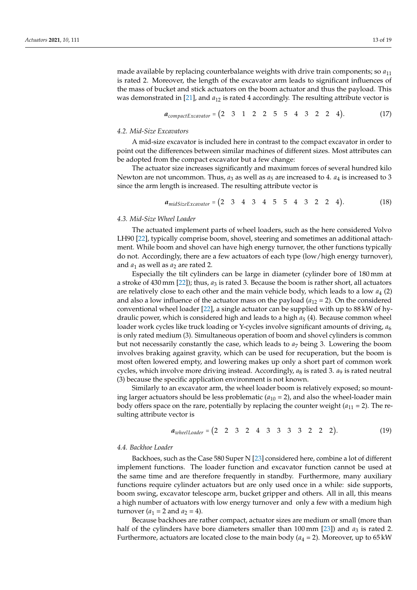made available by replacing counterbalance weights with drive train components; so *a*<sup>11</sup> is rated 2. Moreover, the length of the excavator arm leads to significant influences of the mass of bucket and stick actuators on the boom actuator and thus the payload. This was demonstrated in [\[21\]](#page-18-8), and  $a_{12}$  is rated 4 accordingly. The resulting attribute vector is

$$
a_{compactExcavator} = (2 \ 3 \ 1 \ 2 \ 2 \ 5 \ 5 \ 4 \ 3 \ 2 \ 2 \ 4). \tag{17}
$$

#### *4.2. Mid-Size Excavators*

A mid-size excavator is included here in contrast to the compact excavator in order to point out the differences between similar machines of different sizes. Most attributes can be adopted from the compact excavator but a few change:

The actuator size increases significantly and maximum forces of several hundred kilo Newton are not uncommon. Thus,  $a_3$  as well as  $a_5$  are increased to 4.  $a_4$  is increased to 3 since the arm length is increased. The resulting attribute vector is

$$
a_{midSizeExcavator} = (2 \ 3 \ 4 \ 3 \ 4 \ 5 \ 5 \ 4 \ 3 \ 2 \ 2 \ 4). \tag{18}
$$

# *4.3. Mid-Size Wheel Loader*

The actuated implement parts of wheel loaders, such as the here considered Volvo LH90 [\[22\]](#page-18-9), typically comprise boom, shovel, steering and sometimes an additional attachment. While boom and shovel can have high energy turnover, the other functions typically do not. Accordingly, there are a few actuators of each type (low/high energy turnover), and  $a_1$  as well as  $a_2$  are rated 2.

Especially the tilt cylinders can be large in diameter (cylinder bore of 180 mm at a stroke of 430 mm [\[22\]](#page-18-9)); thus, *a*<sup>3</sup> is rated 3. Because the boom is rather short, all actuators are relatively close to each other and the main vehicle body, which leads to a low *a*<sup>4</sup> (2) and also a low influence of the actuator mass on the payload  $(a_{12} = 2)$ . On the considered conventional wheel loader [\[22\]](#page-18-9), a single actuator can be supplied with up to 88 kW of hydraulic power, which is considered high and leads to a high *a*<sup>5</sup> (4). Because common wheel loader work cycles like truck loading or Y-cycles involve significant amounts of driving, *a*<sup>6</sup> is only rated medium (3). Simultaneous operation of boom and shovel cylinders is common but not necessarily constantly the case, which leads to  $a_7$  being 3. Lowering the boom involves braking against gravity, which can be used for recuperation, but the boom is most often lowered empty, and lowering makes up only a short part of common work cycles, which involve more driving instead. Accordingly, *a*<sup>8</sup> is rated 3. *a*<sup>9</sup> is rated neutral (3) because the specific application environment is not known.

Similarly to an excavator arm, the wheel loader boom is relatively exposed; so mounting larger actuators should be less problematic  $(a_{10} = 2)$ , and also the wheel-loader main body offers space on the rare, potentially by replacing the counter weight  $(a_{11} = 2)$ . The resulting attribute vector is

$$
a_{wheelLoader} = (2 \ 2 \ 3 \ 2 \ 4 \ 3 \ 3 \ 3 \ 3 \ 2 \ 2 \ 2).
$$
 (19)

### *4.4. Backhoe Loader*

Backhoes, such as the Case 580 Super N [\[23\]](#page-18-10) considered here, combine a lot of different implement functions. The loader function and excavator function cannot be used at the same time and are therefore frequently in standby. Furthermore, many auxiliary functions require cylinder actuators but are only used once in a while: side supports, boom swing, excavator telescope arm, bucket gripper and others. All in all, this means a high number of actuators with low energy turnover and only a few with a medium high turnover  $(a_1 = 2 \text{ and } a_2 = 4)$ .

Because backhoes are rather compact, actuator sizes are medium or small (more than half of the cylinders have bore diameters smaller than  $100 \text{ mm}$  [\[23\]](#page-18-10)) and  $a_3$  is rated 2. Furthermore, actuators are located close to the main body  $(a_4 = 2)$ . Moreover, up to 65 kW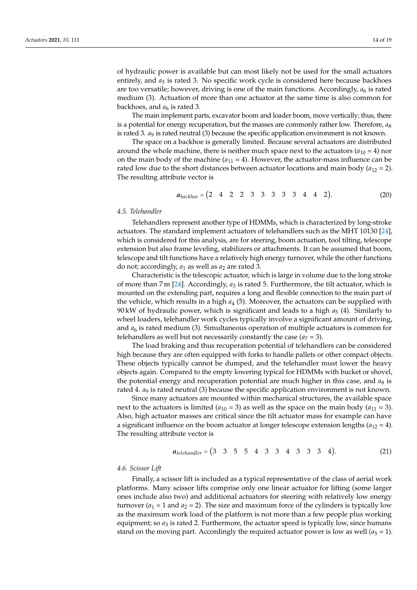of hydraulic power is available but can most likely not be used for the small actuators entirely, and  $a_5$  is rated 3. No specific work cycle is considered here because backhoes are too versatile; however, driving is one of the main functions. Accordingly,  $a_6$  is rated medium (3). Actuation of more than one actuator at the same time is also common for backhoes, and  $a<sub>6</sub>$  is rated 3.

The main implement parts, excavator boom and loader boom, move vertically; thus, there is a potential for energy recuperation, but the masses are commonly rather low. Therefore, *a*<sup>8</sup> is rated 3. *a*<sup>9</sup> is rated neutral (3) because the specific application environment is not known.

The space on a backhoe is generally limited. Because several actuators are distributed around the whole machine, there is neither much space next to the actuators  $(a_{10} = 4)$  nor on the main body of the machine  $(a_{11} = 4)$ . However, the actuator-mass influence can be rated low due to the short distances between actuator locations and main body  $(a_{12} = 2)$ . The resulting attribute vector is

$$
a_{backhoe} = (2 \quad 4 \quad 2 \quad 2 \quad 3 \quad 3 \quad 3 \quad 3 \quad 3 \quad 4 \quad 4 \quad 2). \tag{20}
$$

## *4.5. Telehandler*

Telehandlers represent another type of HDMMs, which is characterized by long-stroke actuators. The standard implement actuators of telehandlers such as the MHT 10130 [\[24\]](#page-18-11), which is considered for this analysis, are for steering, boom actuation, tool tilting, telescope extension but also frame leveling, stabilizers or attachments. It can be assumed that boom, telescope and tilt functions have a relatively high energy turnover, while the other functions do not; accordingly,  $a_1$  as well as  $a_2$  are rated 3.

Characteristic is the telescopic actuator, which is large in volume due to the long stroke of more than 7 m [\[24\]](#page-18-11). Accordingly, *a*<sup>3</sup> is rated 5. Furthermore, the tilt actuator, which is mounted on the extending part, requires a long and flexible connection to the main part of the vehicle, which results in a high *a*<sup>4</sup> (5). Moreover, the actuators can be supplied with 90 kW of hydraulic power, which is significant and leads to a high *a*<sup>5</sup> (4). Similarly to wheel loaders, telehandler work cycles typically involve a significant amount of driving, and  $a_6$  is rated medium (3). Simultaneous operation of multiple actuators is common for telehandlers as well but not necessarily constantly the case  $(a_7 = 3)$ .

The load braking and thus recuperation potential of telehandlers can be considered high because they are often equipped with forks to handle pallets or other compact objects. These objects typically cannot be dumped, and the telehandler must lower the heavy objects again. Compared to the empty lowering typical for HDMMs with bucket or shovel, the potential energy and recuperation potential are much higher in this case, and  $a_8$  is rated 4. *a*<sub>9</sub> is rated neutral (3) because the specific application environment is not known.

Since many actuators are mounted within mechanical structures, the available space next to the actuators is limited ( $a_{10} = 3$ ) as well as the space on the main body ( $a_{11} = 3$ ). Also, high actuator masses are critical since the tilt actuator mass for example can have a significant influence on the boom actuator at longer telescope extension lengths  $(a_{12} = 4)$ . The resulting attribute vector is

$$
a_{telehandler} = (3 \quad 3 \quad 5 \quad 5 \quad 4 \quad 3 \quad 3 \quad 4 \quad 3 \quad 3 \quad 3 \quad 4).
$$
 (21)

### *4.6. Scissor Lift*

Finally, a scissor lift is included as a typical representative of the class of aerial work platforms. Many scissor lifts comprise only one linear actuator for lifting (some larger ones include also two) and additional actuators for steering with relatively low energy turnover  $(a_1 = 1 \text{ and } a_2 = 2)$ . The size and maximum force of the cylinders is typically low as the maximum work load of the platform is not more than a few people plus working equipment; so  $a_3$  is rated 2. Furthermore, the actuator speed is typically low, since humans stand on the moving part. Accordingly the required actuator power is low as well  $(a_5 = 1)$ .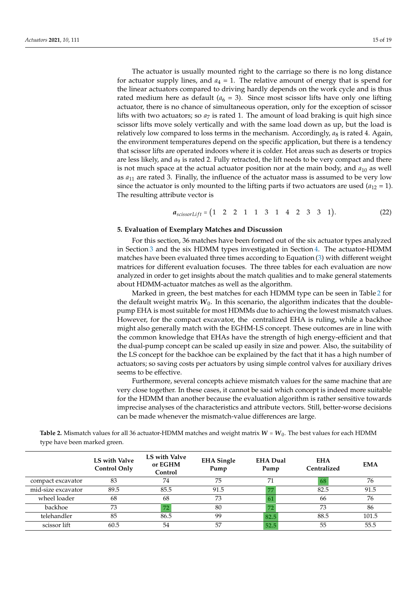The actuator is usually mounted right to the carriage so there is no long distance for actuator supply lines, and  $a_4 = 1$ . The relative amount of energy that is spend for the linear actuators compared to driving hardly depends on the work cycle and is thus rated medium here as default  $(a_6 = 3)$ . Since most scissor lifts have only one lifting actuator, there is no chance of simultaneous operation, only for the exception of scissor lifts with two actuators; so  $a<sub>7</sub>$  is rated 1. The amount of load braking is quit high since scissor lifts move solely vertically and with the same load down as up, but the load is relatively low compared to loss terms in the mechanism. Accordingly,  $a_8$  is rated 4. Again, the environment temperatures depend on the specific application, but there is a tendency that scissor lifts are operated indoors where it is colder. Hot areas such as deserts or tropics are less likely, and  $a_9$  is rated 2. Fully retracted, the lift needs to be very compact and there is not much space at the actual actuator position nor at the main body, and  $a_{10}$  as well as  $a_{11}$  are rated 3. Finally, the influence of the actuator mass is assumed to be very low since the actuator is only mounted to the lifting parts if two actuators are used  $(a_{12} = 1)$ . The resulting attribute vector is

$$
a_{scissorLift} = (1 \ 2 \ 2 \ 1 \ 1 \ 3 \ 1 \ 4 \ 2 \ 3 \ 3 \ 1). \tag{22}
$$

## <span id="page-14-0"></span>**5. Evaluation of Exemplary Matches and Discussion**

For this section, 36 matches have been formed out of the six actuator types analyzed in Section [3](#page-5-0) and the six HDMM types investigated in Section [4.](#page-11-1) The actuator-HDMM matches have been evaluated three times according to Equation [\(3\)](#page-5-1) with different weight matrices for different evaluation focuses. The three tables for each evaluation are now analyzed in order to get insights about the match qualities and to make general statements about HDMM-actuator matches as well as the algorithm.

Marked in green, the best matches for each HDMM type can be seen in Table [2](#page-14-1) for the default weight matrix  $W_0$ . In this scenario, the algorithm indicates that the doublepump EHA is most suitable for most HDMMs due to achieving the lowest mismatch values. However, for the compact excavator, the centralized EHA is ruling, while a backhoe might also generally match with the EGHM-LS concept. These outcomes are in line with the common knowledge that EHAs have the strength of high energy-efficient and that the dual-pump concept can be scaled up easily in size and power. Also, the suitability of the LS concept for the backhoe can be explained by the fact that it has a high number of actuators; so saving costs per actuators by using simple control valves for auxiliary drives seems to be effective.

Furthermore, several concepts achieve mismatch values for the same machine that are very close together. In these cases, it cannot be said which concept is indeed more suitable for the HDMM than another because the evaluation algorithm is rather sensitive towards imprecise analyses of the characteristics and attribute vectors. Still, better-worse decisions can be made whenever the mismatch-value differences are large.

<span id="page-14-1"></span>**Table 2.** Mismatch values for all 36 actuator-HDMM matches and weight matrix  $W = W_0$ . The best values for each HDMM type have been marked green.

|                    | LS with Valve<br><b>Control Only</b> | LS with Valve<br>or EGHM<br>Control | <b>EHA</b> Single<br>Pump | <b>EHA Dual</b><br>Pump | <b>EHA</b><br>Centralized | <b>EMA</b> |
|--------------------|--------------------------------------|-------------------------------------|---------------------------|-------------------------|---------------------------|------------|
| compact excavator  | 83                                   | 74                                  | 75                        | 71                      | 68                        | 76         |
| mid-size excavator | 89.5                                 | 85.5                                | 91.5                      |                         | 82.5                      | 91.5       |
| wheel loader       | 68                                   | 68                                  | 73                        |                         | 66                        | 76         |
| backhoe            | 73                                   | 72                                  | 80                        | 72                      | 73                        | 86         |
| telehandler        | 85                                   | 86.5                                | 99                        | 82.5                    | 88.5                      | 101.5      |
| scissor lift       | 60.5                                 | 54                                  | 57                        | 52.5                    | 55                        | 55.5       |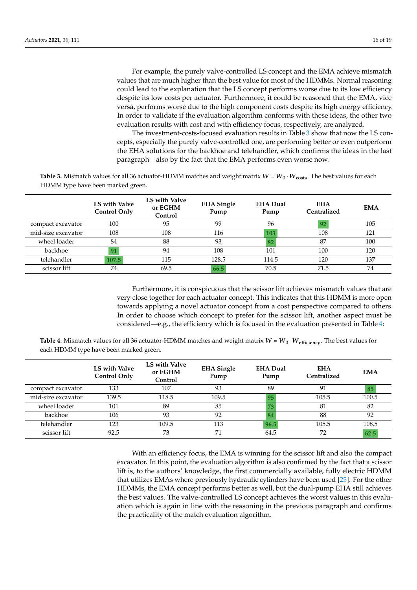For example, the purely valve-controlled LS concept and the EMA achieve mismatch values that are much higher than the best value for most of the HDMMs. Normal reasoning could lead to the explanation that the LS concept performs worse due to its low efficiency despite its low costs per actuator. Furthermore, it could be reasoned that the EMA, vice versa, performs worse due to the high component costs despite its high energy efficiency. In order to validate if the evaluation algorithm conforms with these ideas, the other two evaluation results with cost and with efficiency focus, respectively, are analyzed.

The investment-costs-focused evaluation results in Table [3](#page-15-0) show that now the LS concepts, especially the purely valve-controlled one, are performing better or even outperform the EHA solutions for the backhoe and telehandler, which confirms the ideas in the last paragraph—also by the fact that the EMA performs even worse now.

<span id="page-15-0"></span>**Table 3.** Mismatch values for all 36 actuator-HDMM matches and weight matrix  $W = W_0 \cdot W_{\text{costs}}$ . The best values for each HDMM type have been marked green.

|                    | LS with Valve<br><b>Control Only</b> | LS with Valve<br>or EGHM<br>Control | <b>EHA</b> Single<br>Pump | <b>EHA Dual</b><br>Pump | <b>EHA</b><br>Centralized | <b>EMA</b> |
|--------------------|--------------------------------------|-------------------------------------|---------------------------|-------------------------|---------------------------|------------|
| compact excavator  | 100                                  | 95                                  | 99                        | 96                      |                           | 105        |
| mid-size excavator | 108                                  | 108                                 | 116                       | 103                     | 108                       | 121        |
| wheel loader       | 84                                   | 88                                  | 93                        | 82                      | 87                        | 100        |
| backhoe            | 91                                   | 94                                  | 108                       | 101                     | 100                       | 120        |
| telehandler        | 107.5                                | 115                                 | 128.5                     | 114.5                   | 120                       | 137        |
| scissor lift       | 74                                   | 69.5                                | 66.5                      | 70.5                    | 71.5                      | 74         |

Furthermore, it is conspicuous that the scissor lift achieves mismatch values that are very close together for each actuator concept. This indicates that this HDMM is more open towards applying a novel actuator concept from a cost perspective compared to others. In order to choose which concept to prefer for the scissor lift, another aspect must be considered—e.g., the efficiency which is focused in the evaluation presented in Table [4:](#page-15-1)

<span id="page-15-1"></span>**Table 4.** Mismatch values for all 36 actuator-HDMM matches and weight matrix  $W = W_0 \cdot W_{\text{efficiency}}$ . The best values for each HDMM type have been marked green.

|                    | LS with Valve<br><b>Control Only</b> | LS with Valve<br>or EGHM<br>Control | <b>EHA</b> Single<br>Pump | <b>EHA Dual</b><br>Pump | <b>EHA</b><br>Centralized | <b>EMA</b> |
|--------------------|--------------------------------------|-------------------------------------|---------------------------|-------------------------|---------------------------|------------|
| compact excavator  | 133                                  | 107                                 | 93                        | 89                      | 91                        | 85         |
| mid-size excavator | 139.5                                | 118.5                               | 109.5                     | 95                      | 105.5                     | 100.5      |
| wheel loader       | 101                                  | 89                                  | 85                        | 73                      | 81                        | 82         |
| backhoe            | 106                                  | 93                                  | 92                        | 84                      | 88                        | 92         |
| telehandler        | 123                                  | 109.5                               | 113                       | 96.5                    | 105.5                     | 108.5      |
| scissor lift       | 92.5                                 | 73                                  | 71                        | 64.5                    | 72                        | 62.5       |

With an efficiency focus, the EMA is winning for the scissor lift and also the compact excavator. In this point, the evaluation algorithm is also confirmed by the fact that a scissor lift is, to the authors' knowledge, the first commercially available, fully electric HDMM that utilizes EMAs where previously hydraulic cylinders have been used [\[25\]](#page-18-12). For the other HDMMs, the EMA concept performs better as well, but the dual-pump EHA still achieves the best values. The valve-controlled LS concept achieves the worst values in this evaluation which is again in line with the reasoning in the previous paragraph and confirms the practicality of the match evaluation algorithm.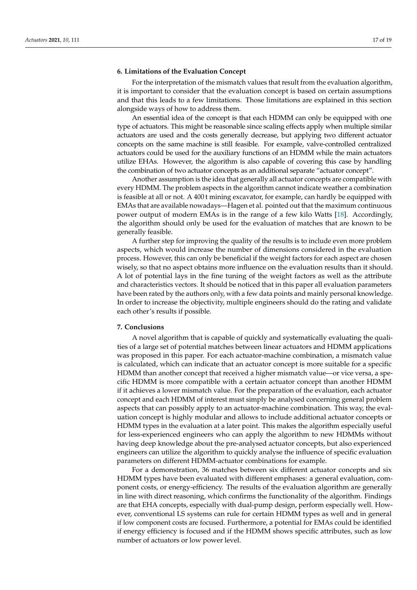# **6. Limitations of the Evaluation Concept**

For the interpretation of the mismatch values that result from the evaluation algorithm, it is important to consider that the evaluation concept is based on certain assumptions and that this leads to a few limitations. Those limitations are explained in this section alongside ways of how to address them.

An essential idea of the concept is that each HDMM can only be equipped with one type of actuators. This might be reasonable since scaling effects apply when multiple similar actuators are used and the costs generally decrease, but applying two different actuator concepts on the same machine is still feasible. For example, valve-controlled centralized actuators could be used for the auxiliary functions of an HDMM while the main actuators utilize EHAs. However, the algorithm is also capable of covering this case by handling the combination of two actuator concepts as an additional separate "actuator concept".

Another assumption is the idea that generally all actuator concepts are compatible with every HDMM. The problem aspects in the algorithm cannot indicate weather a combination is feasible at all or not. A 400 t mining excavator, for example, can hardly be equipped with EMAs that are available nowadays—Hagen et al. pointed out that the maximum continuous power output of modern EMAs is in the range of a few kilo Watts [\[18\]](#page-18-5). Accordingly, the algorithm should only be used for the evaluation of matches that are known to be generally feasible.

A further step for improving the quality of the results is to include even more problem aspects, which would increase the number of dimensions considered in the evaluation process. However, this can only be beneficial if the weight factors for each aspect are chosen wisely, so that no aspect obtains more influence on the evaluation results than it should. A lot of potential lays in the fine tuning of the weight factors as well as the attribute and characteristics vectors. It should be noticed that in this paper all evaluation parameters have been rated by the authors only, with a few data points and mainly personal knowledge. In order to increase the objectivity, multiple engineers should do the rating and validate each other's results if possible.

## **7. Conclusions**

A novel algorithm that is capable of quickly and systematically evaluating the qualities of a large set of potential matches between linear actuators and HDMM applications was proposed in this paper. For each actuator-machine combination, a mismatch value is calculated, which can indicate that an actuator concept is more suitable for a specific HDMM than another concept that received a higher mismatch value—or vice versa, a specific HDMM is more compatible with a certain actuator concept than another HDMM if it achieves a lower mismatch value. For the preparation of the evaluation, each actuator concept and each HDMM of interest must simply be analysed concerning general problem aspects that can possibly apply to an actuator-machine combination. This way, the evaluation concept is highly modular and allows to include additional actuator concepts or HDMM types in the evaluation at a later point. This makes the algorithm especially useful for less-experienced engineers who can apply the algorithm to new HDMMs without having deep knowledge about the pre-analysed actuator concepts, but also experienced engineers can utilize the algorithm to quickly analyse the influence of specific evaluation parameters on different HDMM-actuator combinations for example.

For a demonstration, 36 matches between six different actuator concepts and six HDMM types have been evaluated with different emphases: a general evaluation, component costs, or energy-efficiency. The results of the evaluation algorithm are generally in line with direct reasoning, which confirms the functionality of the algorithm. Findings are that EHA concepts, especially with dual-pump design, perform especially well. However, conventional LS systems can rule for certain HDMM types as well and in general if low component costs are focused. Furthermore, a potential for EMAs could be identified if energy efficiency is focused and if the HDMM shows specific attributes, such as low number of actuators or low power level.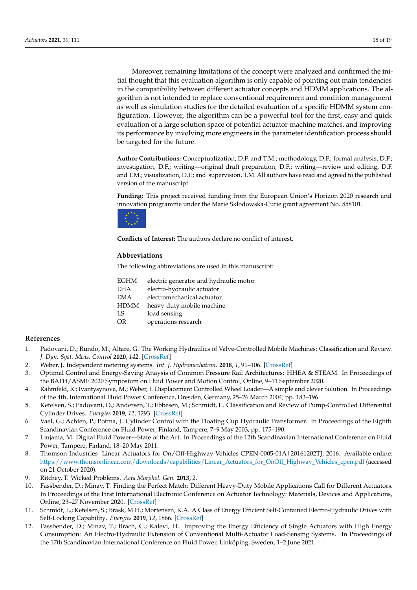Moreover, remaining limitations of the concept were analyzed and confirmed the initial thought that this evaluation algorithm is only capable of pointing out main tendencies in the compatibility between different actuator concepts and HDMM applications. The algorithm is not intended to replace conventional requirement and condition management as well as simulation studies for the detailed evaluation of a specific HDMM system configuration. However, the algorithm can be a powerful tool for the first, easy and quick evaluation of a large solution space of potential actuator-machine matches, and improving its performance by involving more engineers in the parameter identification process should be targeted for the future.

**Author Contributions:** Conceptualization, D.F. and T.M.; methodology, D.F.; formal analysis, D.F.; investigation, D.F.; writing—original draft preparation, D.F.; writing—review and editing, D.F. and T.M.; visualization, D.F.; and supervision, T.M. All authors have read and agreed to the published version of the manuscript.

**Funding:** This project received funding from the European Union's Horizon 2020 research and innovation programme under the Marie Skłodowska-Curie grant agreement No. 858101.



**Conflicts of Interest:** The authors declare no conflict of interest.

## **Abbreviations**

The following abbreviations are used in this manuscript:

| <b>EGHM</b> | electric generator and hydraulic motor |
|-------------|----------------------------------------|
| <b>EHA</b>  | electro-hydraulic actuator             |
| <b>EMA</b>  | electromechanical actuator             |
| <b>HDMM</b> | heavy-duty mobile machine              |
| LS          | load sensing                           |
| OR.         | operations research                    |
|             |                                        |

## **References**

- <span id="page-17-0"></span>1. Padovani, D.; Rundo, M.; Altare, G. The Working Hydraulics of Valve-Controlled Mobile Machines: Classification and Review. *J. Dyn. Syst. Meas. Control* **2020**, *142*. [\[CrossRef\]](http://doi.org/10.1115/1.4046334)
- <span id="page-17-1"></span>2. Weber, J. Independent metering systems. *Int. J. Hydromechatron.* **2018**, *1*, 91–106. [\[CrossRef\]](http://dx.doi.org/10.1504/IJHM.2018.090307)
- <span id="page-17-2"></span>3. Optimal Control and Energy-Saving Anaysis of Common Pressure Rail Architectures: HHEA & STEAM. In Proceedings of the BATH/ASME 2020 Symposium on Fluid Power and Motion Control, Online, 9–11 September 2020.
- <span id="page-17-3"></span>4. Rahmfeld, R.; Ivantysynova, M.; Weber, J. Displacement Controlled Wheel Loader—A simple and clever Solution. In Proceedings of the 4th, International Fluid Power Conference, Dresden, Germany, 25–26 March 2004; pp. 183–196.
- <span id="page-17-4"></span>5. Ketelsen, S.; Padovani, D.; Andersen, T.; Ebbesen, M.; Schmidt, L. Classification and Review of Pump-Controlled Differential Cylinder Drives. *Energies* **2019**, *12*, 1293. [\[CrossRef\]](http://dx.doi.org/10.3390/en12071293)
- <span id="page-17-5"></span>6. Vael, G.; Achten, P.; Potma, J. Cylinder Control with the Floating Cup Hydraulic Transformer. In Proceedings of the Eighth Scandinavian Conference on Fluid Power, Finland, Tampere, 7–9 May 2003; pp. 175–190.
- <span id="page-17-6"></span>7. Linjama, M. Digital Fluid Power—State of the Art. In Proceedings of the 12th Scandinavian International Conference on Fluid Power, Tampere, Finland, 18–20 May 2011.
- <span id="page-17-7"></span>8. Thomson Industries Linear Actuators for On/Off-Highway Vehicles CPEN-0005-01A | 20161202TJ, 2016. Available online: [https://www.thomsonlinear.com/downloads/capabilities/Linear\\_Actuators\\_for\\_OnOff\\_Highway\\_Vehicles\\_cpen.pdf](https://www.thomsonlinear.com/downloads/capabilities /Linear_Actuators_for_OnOff_Highway_Vehicles_cpen.pdf) (accessed on 21 October 2020).
- <span id="page-17-8"></span>9. Ritchey, T. Wicked Problems. *Acta Morphol. Gen.* **2013**, *2*.
- <span id="page-17-9"></span>10. Fassbender, D.; Minav, T. Finding the Perfect Match: Different Heavy-Duty Mobile Applications Call for Different Actuators. In Proceedings of the First International Electronic Conference on Actuator Technology: Materials, Devices and Applications, Online, 23–27 November 2020. [\[CrossRef\]](http://dx.doi.org/10.3390/IeCAT2020-08524)
- <span id="page-17-10"></span>11. Schmidt, L.; Ketelsen, S.; Brask, M.H.; Mortensen, K.A. A Class of Energy Efficient Self-Contained Electro-Hydraulic Drives with Self-Locking Capability. *Energies* **2019**, *12*, 1866. [\[CrossRef\]](http://dx.doi.org/10.3390/en12101866)
- <span id="page-17-11"></span>12. Fassbender, D.; Minav, T.; Brach, C.; Kalevi, H. Improving the Energy Efficiency of Single Actuators with High Energy Consumption: An Electro-Hydraulic Extension of Conventional Multi-Actuator Load-Sensing Systems. In Proceedings of the 17th Scandinavian International Conference on Fluid Power, Linköping, Sweden, 1–2 June 2021.